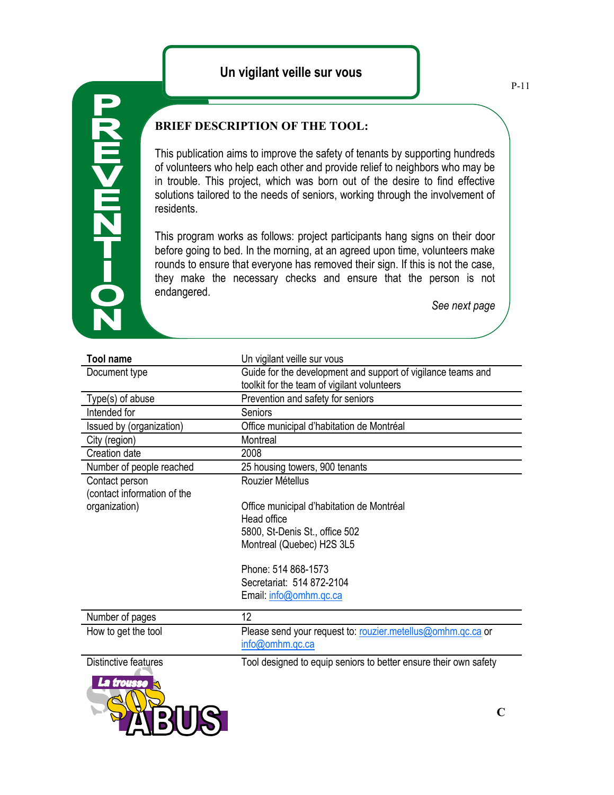## **20-12M<MZD**

## **BRIEF DESCRIPTION OF THE TOOL:**

This publication aims to improve the safety of tenants by supporting hundreds of volunteers who help each other and provide relief to neighbors who may be in trouble. This project, which was born out of the desire to find effective solutions tailored to the needs of seniors, working through the involvement of residents.

This program works as follows: project participants hang signs on their door before going to bed. In the morning, at an agreed upon time, volunteers make rounds to ensure that everyone has removed their sign. If this is not the case, they make the necessary checks and ensure that the person is not endangered.

*See next page*

| <b>Tool name</b>            | Un vigilant veille sur vous                                      |
|-----------------------------|------------------------------------------------------------------|
| Document type               | Guide for the development and support of vigilance teams and     |
|                             | toolkit for the team of vigilant volunteers                      |
| Type(s) of abuse            | Prevention and safety for seniors                                |
| Intended for                | Seniors                                                          |
| Issued by (organization)    | Office municipal d'habitation de Montréal                        |
| City (region)               | Montreal                                                         |
| Creation date               | 2008                                                             |
| Number of people reached    | 25 housing towers, 900 tenants                                   |
| Contact person              | Rouzier Métellus                                                 |
| (contact information of the |                                                                  |
| organization)               | Office municipal d'habitation de Montréal                        |
|                             | Head office                                                      |
|                             | 5800, St-Denis St., office 502                                   |
|                             | Montreal (Quebec) H2S 3L5                                        |
|                             |                                                                  |
|                             | Phone: 514 868-1573                                              |
|                             | Secretariat: 514 872-2104                                        |
|                             | Email: info@omhm.qc.ca                                           |
| Number of pages             | 12                                                               |
| How to get the tool         | Please send your request to: rouzier.metellus@omhm.qc.ca or      |
|                             | info@omhm.qc.ca                                                  |
| Distinctive features        | Tool designed to equip seniors to better ensure their own safety |
| La trousse                  |                                                                  |
|                             |                                                                  |
|                             |                                                                  |
|                             | $\mathbf C$                                                      |
|                             |                                                                  |